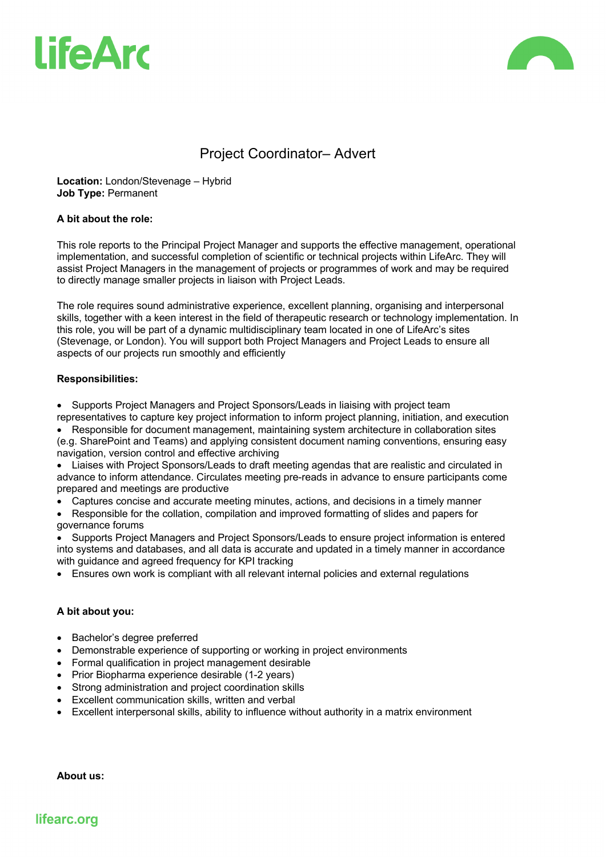



# Project Coordinator– Advert

**Location:** London/Stevenage – Hybrid **Job Type:** Permanent

## **A bit about the role:**

This role reports to the Principal Project Manager and supports the effective management, operational implementation, and successful completion of scientific or technical projects within LifeArc. They will assist Project Managers in the management of projects or programmes of work and may be required to directly manage smaller projects in liaison with Project Leads.

The role requires sound administrative experience, excellent planning, organising and interpersonal skills, together with a keen interest in the field of therapeutic research or technology implementation. In this role, you will be part of a dynamic multidisciplinary team located in one of LifeArc's sites (Stevenage, or London). You will support both Project Managers and Project Leads to ensure all aspects of our projects run smoothly and efficiently

## **Responsibilities:**

• Supports Project Managers and Project Sponsors/Leads in liaising with project team representatives to capture key project information to inform project planning, initiation, and execution

• Responsible for document management, maintaining system architecture in collaboration sites (e.g. SharePoint and Teams) and applying consistent document naming conventions, ensuring easy navigation, version control and effective archiving

• Liaises with Project Sponsors/Leads to draft meeting agendas that are realistic and circulated in advance to inform attendance. Circulates meeting pre-reads in advance to ensure participants come prepared and meetings are productive

• Captures concise and accurate meeting minutes, actions, and decisions in a timely manner

• Responsible for the collation, compilation and improved formatting of slides and papers for governance forums

• Supports Project Managers and Project Sponsors/Leads to ensure project information is entered into systems and databases, and all data is accurate and updated in a timely manner in accordance with guidance and agreed frequency for KPI tracking

• Ensures own work is compliant with all relevant internal policies and external regulations

# **A bit about you:**

- Bachelor's degree preferred
- Demonstrable experience of supporting or working in project environments
- Formal qualification in project management desirable
- Prior Biopharma experience desirable (1-2 years)
- Strong administration and project coordination skills
- Excellent communication skills, written and verbal
- Excellent interpersonal skills, ability to influence without authority in a matrix environment

**About us:**